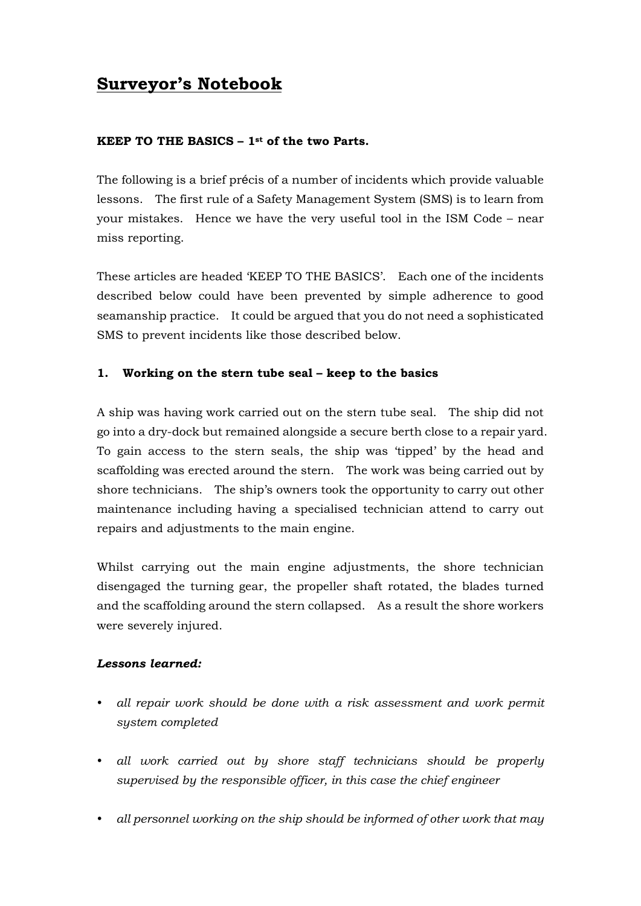# **Surveyor's Notebook**

### **KEEP TO THE BASICS – 1st of the two Parts.**

The following is a brief précis of a number of incidents which provide valuable lessons. The first rule of a Safety Management System (SMS) is to learn from your mistakes. Hence we have the very useful tool in the ISM Code – near miss reporting.

These articles are headed 'KEEP TO THE BASICS'. Each one of the incidents described below could have been prevented by simple adherence to good seamanship practice. It could be argued that you do not need a sophisticated SMS to prevent incidents like those described below.

#### **1. Working on the stern tube seal – keep to the basics**

A ship was having work carried out on the stern tube seal. The ship did not go into a dry-dock but remained alongside a secure berth close to a repair yard. To gain access to the stern seals, the ship was 'tipped' by the head and scaffolding was erected around the stern. The work was being carried out by shore technicians. The ship's owners took the opportunity to carry out other maintenance including having a specialised technician attend to carry out repairs and adjustments to the main engine.

Whilst carrying out the main engine adjustments, the shore technician disengaged the turning gear, the propeller shaft rotated, the blades turned and the scaffolding around the stern collapsed. As a result the shore workers were severely injured.

#### *Lessons learned:*

- *all repair work should be done with a risk assessment and work permit system completed*
- *all work carried out by shore staff technicians should be properly supervised by the responsible officer, in this case the chief engineer*
- y *all personnel working on the ship should be informed of other work that may*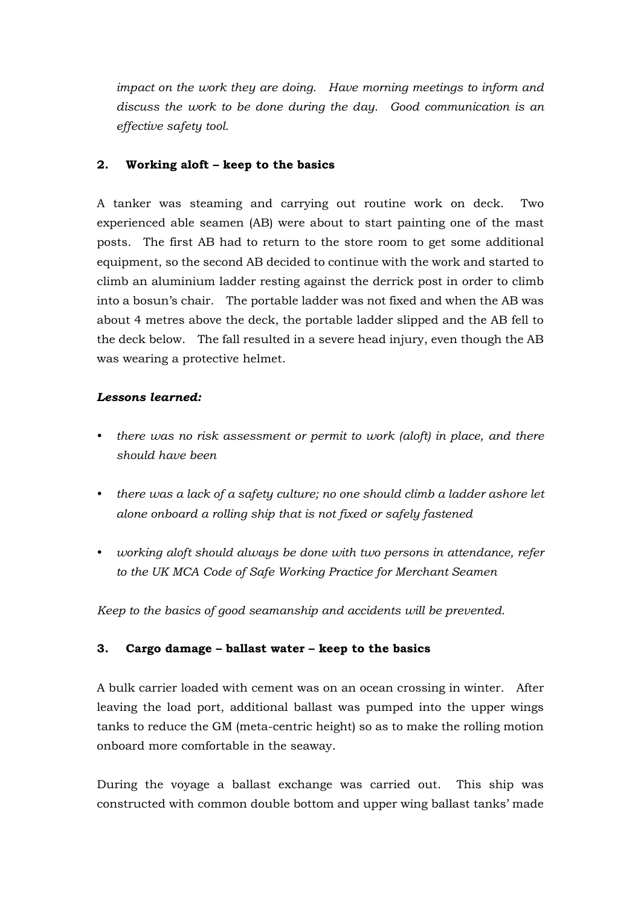*impact on the work they are doing. Have morning meetings to inform and discuss the work to be done during the day. Good communication is an effective safety tool.* 

#### **2. Working aloft – keep to the basics**

A tanker was steaming and carrying out routine work on deck. Two experienced able seamen (AB) were about to start painting one of the mast posts. The first AB had to return to the store room to get some additional equipment, so the second AB decided to continue with the work and started to climb an aluminium ladder resting against the derrick post in order to climb into a bosun's chair. The portable ladder was not fixed and when the AB was about 4 metres above the deck, the portable ladder slipped and the AB fell to the deck below. The fall resulted in a severe head injury, even though the AB was wearing a protective helmet.

#### *Lessons learned:*

- there was no risk assessment or permit to work (aloft) in place, and there *should have been*
- there was a lack of a safety culture; no one should climb a ladder ashore let *alone onboard a rolling ship that is not fixed or safely fastened*
- working aloft should always be done with two persons in attendance, refer *to the UK MCA Code of Safe Working Practice for Merchant Seamen*

*Keep to the basics of good seamanship and accidents will be prevented.* 

## **3. Cargo damage – ballast water – keep to the basics**

A bulk carrier loaded with cement was on an ocean crossing in winter. After leaving the load port, additional ballast was pumped into the upper wings tanks to reduce the GM (meta-centric height) so as to make the rolling motion onboard more comfortable in the seaway.

During the voyage a ballast exchange was carried out. This ship was constructed with common double bottom and upper wing ballast tanks' made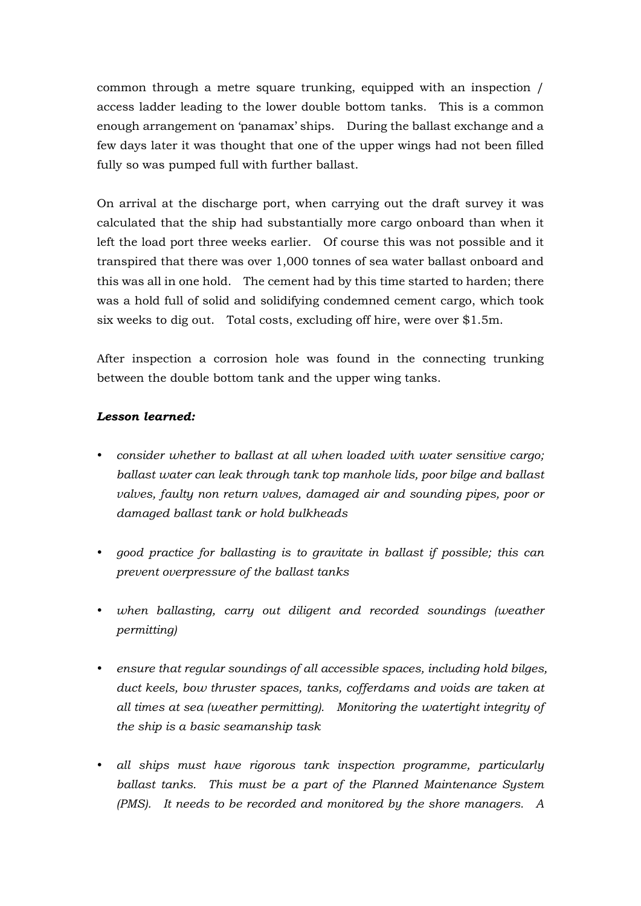common through a metre square trunking, equipped with an inspection / access ladder leading to the lower double bottom tanks. This is a common enough arrangement on 'panamax' ships. During the ballast exchange and a few days later it was thought that one of the upper wings had not been filled fully so was pumped full with further ballast.

On arrival at the discharge port, when carrying out the draft survey it was calculated that the ship had substantially more cargo onboard than when it left the load port three weeks earlier. Of course this was not possible and it transpired that there was over 1,000 tonnes of sea water ballast onboard and this was all in one hold. The cement had by this time started to harden; there was a hold full of solid and solidifying condemned cement cargo, which took six weeks to dig out. Total costs, excluding off hire, were over \$1.5m.

After inspection a corrosion hole was found in the connecting trunking between the double bottom tank and the upper wing tanks.

## *Lesson learned:*

- y *consider whether to ballast at all when loaded with water sensitive cargo; ballast water can leak through tank top manhole lids, poor bilge and ballast valves, faulty non return valves, damaged air and sounding pipes, poor or damaged ballast tank or hold bulkheads*
- good practice for ballasting is to gravitate in ballast if possible; this can *prevent overpressure of the ballast tanks*
- when ballasting, carry out diligent and recorded soundings (weather *permitting)*
- ensure that regular soundings of all accessible spaces, including hold bilges, *duct keels, bow thruster spaces, tanks, cofferdams and voids are taken at all times at sea (weather permitting). Monitoring the watertight integrity of the ship is a basic seamanship task*
- *all ships must have rigorous tank inspection programme, particularly ballast tanks. This must be a part of the Planned Maintenance System (PMS). It needs to be recorded and monitored by the shore managers. A*